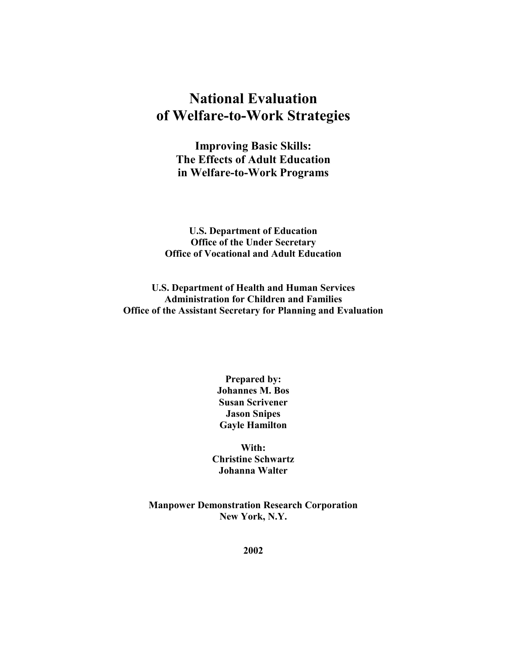# **National Evaluation of Welfare-to-Work Strategies**

**Improving Basic Skills: The Effects of Adult Education in Welfare-to-Work Programs**

**U.S. Department of Education Office of the Under Secretary Office of Vocational and Adult Education** 

**U.S. Department of Health and Human Services Administration for Children and Families Office of the Assistant Secretary for Planning and Evaluation**

> **Prepared by: Johannes M. Bos Susan Scrivener Jason Snipes Gayle Hamilton**

**With: Christine Schwartz Johanna Walter** 

**Manpower Demonstration Research Corporation New York, N.Y.** 

**2002**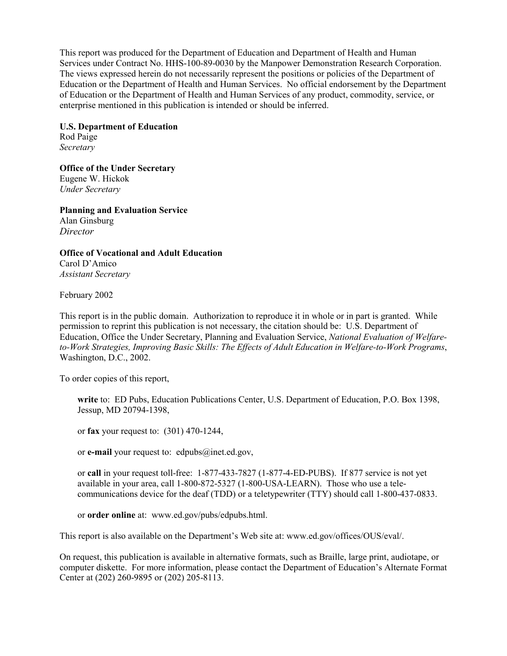This report was produced for the Department of Education and Department of Health and Human Services under Contract No. HHS-100-89-0030 by the Manpower Demonstration Research Corporation. The views expressed herein do not necessarily represent the positions or policies of the Department of Education or the Department of Health and Human Services. No official endorsement by the Department of Education or the Department of Health and Human Services of any product, commodity, service, or enterprise mentioned in this publication is intended or should be inferred.

**U.S. Department of Education**  Rod Paige *Secretary* 

**Office of the Under Secretary**  Eugene W. Hickok *Under Secretary*

**Planning and Evaluation Service**  Alan Ginsburg *Director* 

**Office of Vocational and Adult Education**  Carol D'Amico *Assistant Secretary* 

February 2002

This report is in the public domain. Authorization to reproduce it in whole or in part is granted. While permission to reprint this publication is not necessary, the citation should be: U.S. Department of Education, Office the Under Secretary, Planning and Evaluation Service, *National Evaluation of Welfareto-Work Strategies, Improving Basic Skills: The Effects of Adult Education in Welfare-to-Work Programs*, Washington, D.C., 2002.

To order copies of this report,

**write** to: ED Pubs, Education Publications Center, U.S. Department of Education, P.O. Box 1398, Jessup, MD 20794-1398,

or **fax** your request to: (301) 470-1244,

or **e-mail** your request to: edpubs@inet.ed.gov,

or **call** in your request toll-free: 1-877-433-7827 (1-877-4-ED-PUBS). If 877 service is not yet available in your area, call 1-800-872-5327 (1-800-USA-LEARN). Those who use a telecommunications device for the deaf (TDD) or a teletypewriter (TTY) should call 1-800-437-0833.

or **order online** at: www.ed.gov/pubs/edpubs.html.

This report is also available on the Department's Web site at: www.ed.gov/offices/OUS/eval/.

On request, this publication is available in alternative formats, such as Braille, large print, audiotape, or computer diskette. For more information, please contact the Department of Education's Alternate Format Center at (202) 260-9895 or (202) 205-8113.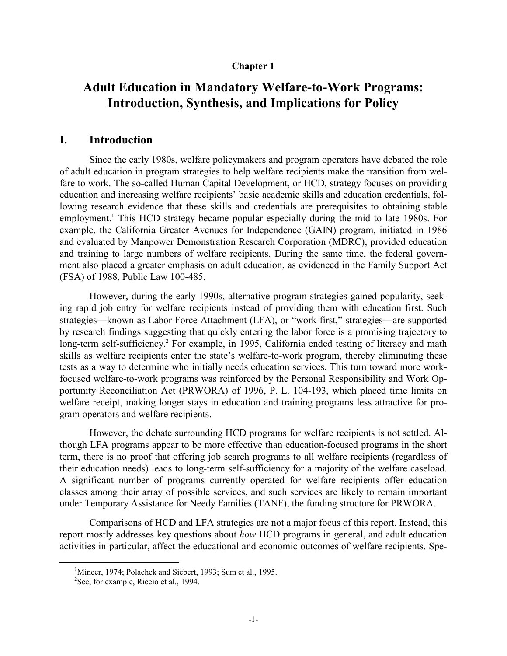#### **Chapter 1**

## **Adult Education in Mandatory Welfare-to-Work Programs: Introduction, Synthesis, and Implications for Policy**

#### **I. Introduction**

Since the early 1980s, welfare policymakers and program operators have debated the role of adult education in program strategies to help welfare recipients make the transition from welfare to work. The so-called Human Capital Development, or HCD, strategy focuses on providing education and increasing welfare recipients' basic academic skills and education credentials, following research evidence that these skills and credentials are prerequisites to obtaining stable employment.<sup>1</sup> This HCD strategy became popular especially during the mid to late 1980s. For example, the California Greater Avenues for Independence (GAIN) program, initiated in 1986 and evaluated by Manpower Demonstration Research Corporation (MDRC), provided education and training to large numbers of welfare recipients. During the same time, the federal government also placed a greater emphasis on adult education, as evidenced in the Family Support Act (FSA) of 1988, Public Law 100-485.

However, during the early 1990s, alternative program strategies gained popularity, seeking rapid job entry for welfare recipients instead of providing them with education first. Such strategies—known as Labor Force Attachment (LFA), or "work first," strategies—are supported by research findings suggesting that quickly entering the labor force is a promising trajectory to long-term self-sufficiency.<sup>2</sup> For example, in 1995, California ended testing of literacy and math skills as welfare recipients enter the state's welfare-to-work program, thereby eliminating these tests as a way to determine who initially needs education services. This turn toward more workfocused welfare-to-work programs was reinforced by the Personal Responsibility and Work Opportunity Reconciliation Act (PRWORA) of 1996, P. L. 104-193, which placed time limits on welfare receipt, making longer stays in education and training programs less attractive for program operators and welfare recipients.

However, the debate surrounding HCD programs for welfare recipients is not settled. Although LFA programs appear to be more effective than education-focused programs in the short term, there is no proof that offering job search programs to all welfare recipients (regardless of their education needs) leads to long-term self-sufficiency for a majority of the welfare caseload. A significant number of programs currently operated for welfare recipients offer education classes among their array of possible services, and such services are likely to remain important under Temporary Assistance for Needy Families (TANF), the funding structure for PRWORA.

Comparisons of HCD and LFA strategies are not a major focus of this report. Instead, this report mostly addresses key questions about *how* HCD programs in general, and adult education activities in particular, affect the educational and economic outcomes of welfare recipients. Spe-

 <sup>1</sup> <sup>1</sup>Mincer, 1974; Polachek and Siebert, 1993; Sum et al., 1995.

<sup>&</sup>lt;sup>2</sup>See, for example, Riccio et al., 1994.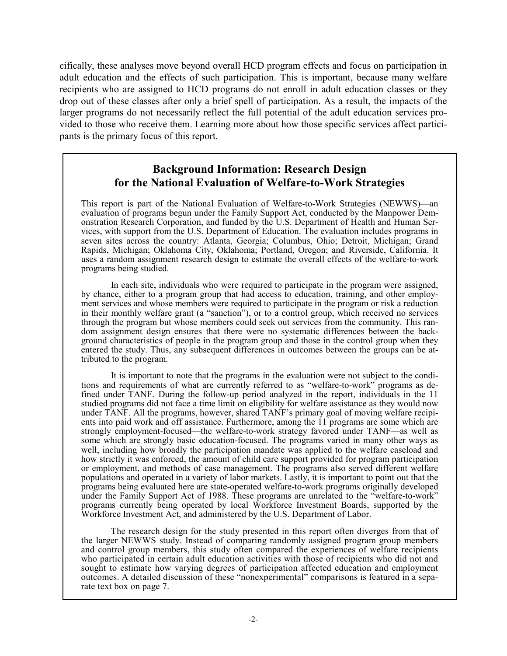cifically, these analyses move beyond overall HCD program effects and focus on participation in adult education and the effects of such participation. This is important, because many welfare recipients who are assigned to HCD programs do not enroll in adult education classes or they drop out of these classes after only a brief spell of participation. As a result, the impacts of the larger programs do not necessarily reflect the full potential of the adult education services provided to those who receive them. Learning more about how those specific services affect participants is the primary focus of this report.

## **Background Information: Research Design for the National Evaluation of Welfare-to-Work Strategies**

This report is part of the National Evaluation of Welfare-to-Work Strategies (NEWWS)—an evaluation of programs begun under the Family Support Act, conducted by the Manpower Demonstration Research Corporation, and funded by the U.S. Department of Health and Human Services, with support from the U.S. Department of Education. The evaluation includes programs in seven sites across the country: Atlanta, Georgia; Columbus, Ohio; Detroit, Michigan; Grand Rapids, Michigan; Oklahoma City, Oklahoma; Portland, Oregon; and Riverside, California. It uses a random assignment research design to estimate the overall effects of the welfare-to-work programs being studied.

In each site, individuals who were required to participate in the program were assigned, by chance, either to a program group that had access to education, training, and other employment services and whose members were required to participate in the program or risk a reduction in their monthly welfare grant (a "sanction"), or to a control group, which received no services through the program but whose members could seek out services from the community. This random assignment design ensures that there were no systematic differences between the background characteristics of people in the program group and those in the control group when they entered the study. Thus, any subsequent differences in outcomes between the groups can be attributed to the program.

It is important to note that the programs in the evaluation were not subject to the conditions and requirements of what are currently referred to as "welfare-to-work" programs as defined under TANF. During the follow-up period analyzed in the report, individuals in the 11 studied programs did not face a time limit on eligibility for welfare assistance as they would now under TANF. All the programs, however, shared TANF's primary goal of moving welfare recipients into paid work and off assistance. Furthermore, among the 11 programs are some which are strongly employment-focused—the welfare-to-work strategy favored under TANF—as well as some which are strongly basic education-focused. The programs varied in many other ways as well, including how broadly the participation mandate was applied to the welfare caseload and how strictly it was enforced, the amount of child care support provided for program participation or employment, and methods of case management. The programs also served different welfare populations and operated in a variety of labor markets. Lastly, it is important to point out that the programs being evaluated here are state-operated welfare-to-work programs originally developed under the Family Support Act of 1988. These programs are unrelated to the "welfare-to-work" programs currently being operated by local Workforce Investment Boards, supported by the Workforce Investment Act, and administered by the U.S. Department of Labor.

The research design for the study presented in this report often diverges from that of the larger NEWWS study. Instead of comparing randomly assigned program group members and control group members, this study often compared the experiences of welfare recipients who participated in certain adult education activities with those of recipients who did not and sought to estimate how varying degrees of participation affected education and employment outcomes. A detailed discussion of these "nonexperimental" comparisons is featured in a separate text box on page 7.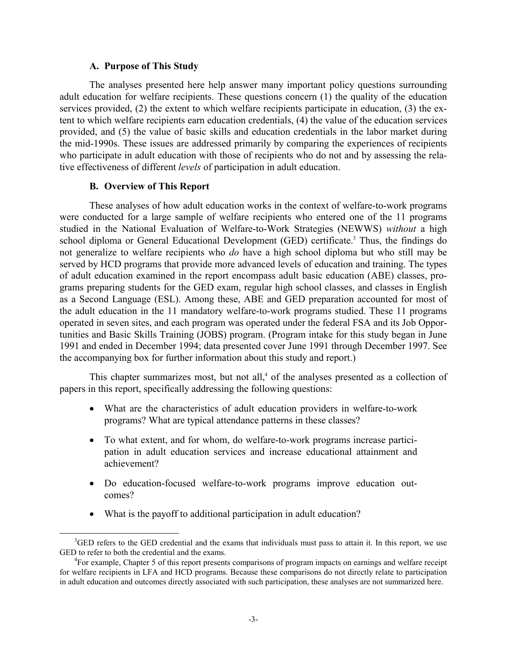#### **A. Purpose of This Study**

 The analyses presented here help answer many important policy questions surrounding adult education for welfare recipients. These questions concern (1) the quality of the education services provided, (2) the extent to which welfare recipients participate in education, (3) the extent to which welfare recipients earn education credentials, (4) the value of the education services provided, and (5) the value of basic skills and education credentials in the labor market during the mid-1990s. These issues are addressed primarily by comparing the experiences of recipients who participate in adult education with those of recipients who do not and by assessing the relative effectiveness of different *levels* of participation in adult education.

#### **B. Overview of This Report**

These analyses of how adult education works in the context of welfare-to-work programs were conducted for a large sample of welfare recipients who entered one of the 11 programs studied in the National Evaluation of Welfare-to-Work Strategies (NEWWS) *without* a high school diploma or General Educational Development (GED) certificate.<sup>3</sup> Thus, the findings do not generalize to welfare recipients who *do* have a high school diploma but who still may be served by HCD programs that provide more advanced levels of education and training. The types of adult education examined in the report encompass adult basic education (ABE) classes, programs preparing students for the GED exam, regular high school classes, and classes in English as a Second Language (ESL). Among these, ABE and GED preparation accounted for most of the adult education in the 11 mandatory welfare-to-work programs studied. These 11 programs operated in seven sites, and each program was operated under the federal FSA and its Job Opportunities and Basic Skills Training (JOBS) program. (Program intake for this study began in June 1991 and ended in December 1994; data presented cover June 1991 through December 1997. See the accompanying box for further information about this study and report.)

This chapter summarizes most, but not all, $4$  of the analyses presented as a collection of papers in this report, specifically addressing the following questions:

- What are the characteristics of adult education providers in welfare-to-work programs? What are typical attendance patterns in these classes?
- To what extent, and for whom, do welfare-to-work programs increase participation in adult education services and increase educational attainment and achievement?
- Do education-focused welfare-to-work programs improve education outcomes?
- What is the payoff to additional participation in adult education?

 <sup>3</sup>  ${}^{3}$ GED refers to the GED credential and the exams that individuals must pass to attain it. In this report, we use GED to refer to both the credential and the exams.

For example, Chapter 5 of this report presents comparisons of program impacts on earnings and welfare receipt for welfare recipients in LFA and HCD programs. Because these comparisons do not directly relate to participation in adult education and outcomes directly associated with such participation, these analyses are not summarized here.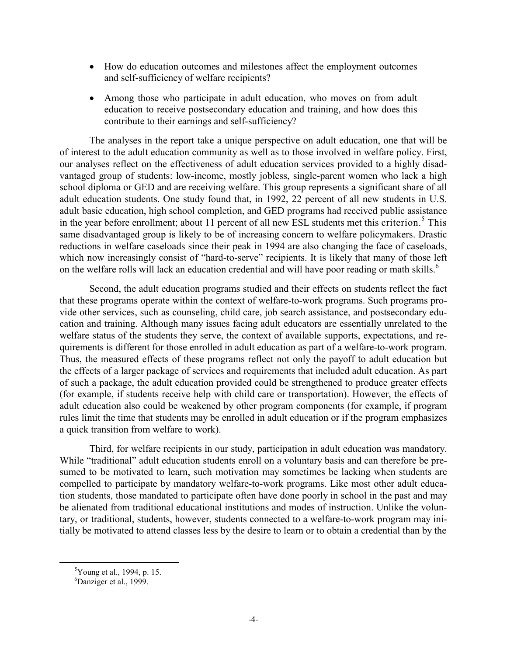- How do education outcomes and milestones affect the employment outcomes and self-sufficiency of welfare recipients?
- Among those who participate in adult education, who moves on from adult education to receive postsecondary education and training, and how does this contribute to their earnings and self-sufficiency?

 The analyses in the report take a unique perspective on adult education, one that will be of interest to the adult education community as well as to those involved in welfare policy. First, our analyses reflect on the effectiveness of adult education services provided to a highly disadvantaged group of students: low-income, mostly jobless, single-parent women who lack a high school diploma or GED and are receiving welfare. This group represents a significant share of all adult education students. One study found that, in 1992, 22 percent of all new students in U.S. adult basic education, high school completion, and GED programs had received public assistance in the year before enrollment; about 11 percent of all new ESL students met this criterion.<sup>5</sup> This same disadvantaged group is likely to be of increasing concern to welfare policymakers. Drastic reductions in welfare caseloads since their peak in 1994 are also changing the face of caseloads, which now increasingly consist of "hard-to-serve" recipients. It is likely that many of those left on the welfare rolls will lack an education credential and will have poor reading or math skills.<sup>6</sup>

 Second, the adult education programs studied and their effects on students reflect the fact that these programs operate within the context of welfare-to-work programs. Such programs provide other services, such as counseling, child care, job search assistance, and postsecondary education and training. Although many issues facing adult educators are essentially unrelated to the welfare status of the students they serve, the context of available supports, expectations, and requirements is different for those enrolled in adult education as part of a welfare-to-work program. Thus, the measured effects of these programs reflect not only the payoff to adult education but the effects of a larger package of services and requirements that included adult education. As part of such a package, the adult education provided could be strengthened to produce greater effects (for example, if students receive help with child care or transportation). However, the effects of adult education also could be weakened by other program components (for example, if program rules limit the time that students may be enrolled in adult education or if the program emphasizes a quick transition from welfare to work).

Third, for welfare recipients in our study, participation in adult education was mandatory. While "traditional" adult education students enroll on a voluntary basis and can therefore be presumed to be motivated to learn, such motivation may sometimes be lacking when students are compelled to participate by mandatory welfare-to-work programs. Like most other adult education students, those mandated to participate often have done poorly in school in the past and may be alienated from traditional educational institutions and modes of instruction. Unlike the voluntary, or traditional, students, however, students connected to a welfare-to-work program may initially be motivated to attend classes less by the desire to learn or to obtain a credential than by the

 $rac{1}{5}$  $5$ Young et al., 1994, p. 15.

Danziger et al., 1999.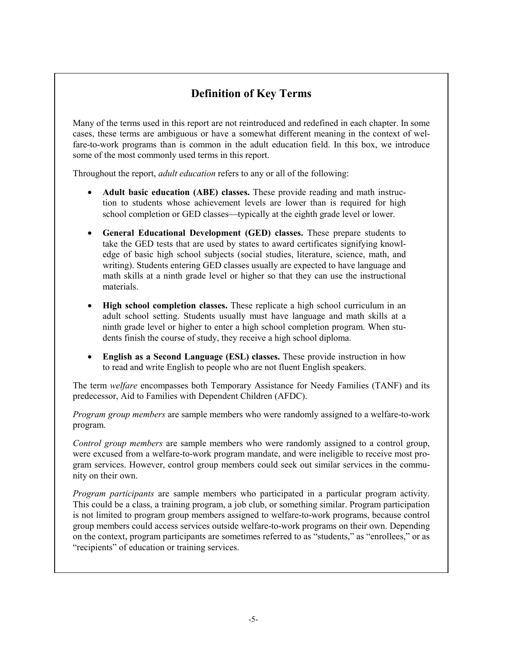## **Definition of Key Terms**

Many of the terms used in this report are not reintroduced and redefined in each chapter. In some cases, these terms are ambiguous or have a somewhat different meaning in the context of welfare-to-work programs than is common in the adult education field. In this box, we introduce some of the most commonly used terms in this report.

Throughout the report, *adult education* refers to any or all of the following:

- $\bullet$  **Adult basic education (ABE) classes.** These provide reading and math instruction to students whose achievement levels are lower than is required for high school completion or GED classes—typically at the eighth grade level or lower.
- **General Educational Development (GED) classes.** These prepare students to take the GED tests that are used by states to award certificates signifying knowledge of basic high school subjects (social studies, literature, science, math, and writing). Students entering GED classes usually are expected to have language and math skills at a ninth grade level or higher so that they can use the instructional materials.
- - **High school completion classes.** These replicate a high school curriculum in an adult school setting. Students usually must have language and math skills at a ninth grade level or higher to enter a high school completion program. When students finish the course of study, they receive a high school diploma.
- $\bullet$  **English as a Second Language (ESL) classes.** These provide instruction in how to read and write English to people who are not fluent English speakers.

The term *welfare* encompasses both Temporary Assistance for Needy Families (TANF) and its predecessor, Aid to Families with Dependent Children (AFDC).

*Program group members* are sample members who were randomly assigned to a welfare-to-work program.

*Control group members* are sample members who were randomly assigned to a control group, were excused from a welfare-to-work program mandate, and were ineligible to receive most program services. However, control group members could seek out similar services in the community on their own.

*Program participants* are sample members who participated in a particular program activity. This could be a class, a training program, a job club, or something similar. Program participation is not limited to program group members assigned to welfare-to-work programs, because control group members could access services outside welfare-to-work programs on their own. Depending on the context, program participants are sometimes referred to as "students," as "enrollees," or as "recipients" of education or training services.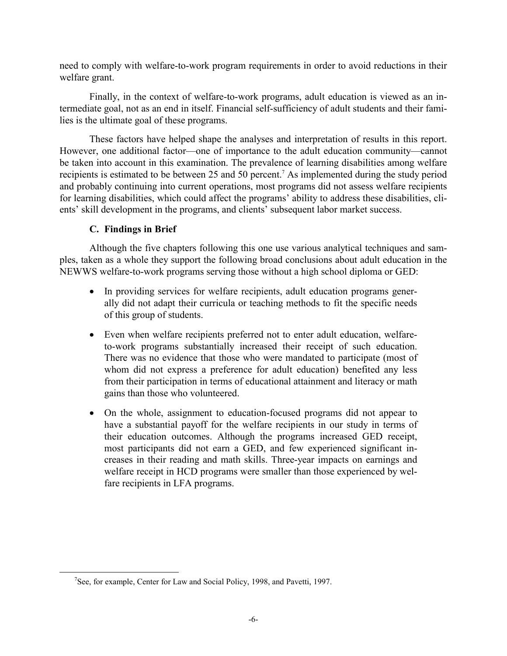need to comply with welfare-to-work program requirements in order to avoid reductions in their welfare grant.

Finally, in the context of welfare-to-work programs, adult education is viewed as an intermediate goal, not as an end in itself. Financial self-sufficiency of adult students and their families is the ultimate goal of these programs.

 These factors have helped shape the analyses and interpretation of results in this report. However, one additional factor—one of importance to the adult education community—cannot be taken into account in this examination. The prevalence of learning disabilities among welfare recipients is estimated to be between 25 and 50 percent.<sup>7</sup> As implemented during the study period and probably continuing into current operations, most programs did not assess welfare recipients for learning disabilities, which could affect the programs' ability to address these disabilities, clients' skill development in the programs, and clients' subsequent labor market success.

#### **C. Findings in Brief**

 Although the five chapters following this one use various analytical techniques and samples, taken as a whole they support the following broad conclusions about adult education in the NEWWS welfare-to-work programs serving those without a high school diploma or GED:

- In providing services for welfare recipients, adult education programs generally did not adapt their curricula or teaching methods to fit the specific needs of this group of students.
- Even when welfare recipients preferred not to enter adult education, welfareto-work programs substantially increased their receipt of such education. There was no evidence that those who were mandated to participate (most of whom did not express a preference for adult education) benefited any less from their participation in terms of educational attainment and literacy or math gains than those who volunteered.
- On the whole, assignment to education-focused programs did not appear to have a substantial payoff for the welfare recipients in our study in terms of their education outcomes. Although the programs increased GED receipt, most participants did not earn a GED, and few experienced significant increases in their reading and math skills. Three-year impacts on earnings and welfare receipt in HCD programs were smaller than those experienced by welfare recipients in LFA programs.

 $\frac{1}{7}$  $^7$ See, for example, Center for Law and Social Policy, 1998, and Pavetti, 1997.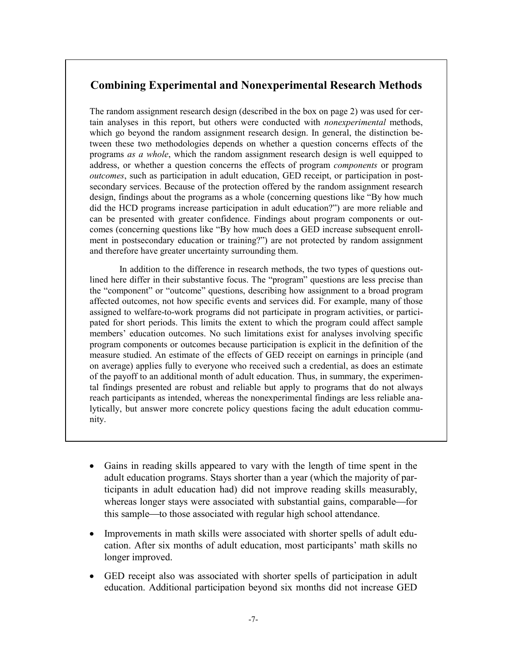## **Combining Experimental and Nonexperimental Research Methods**

The random assignment research design (described in the box on page 2) was used for certain analyses in this report, but others were conducted with *nonexperimental* methods, which go beyond the random assignment research design. In general, the distinction between these two methodologies depends on whether a question concerns effects of the programs *as a whole*, which the random assignment research design is well equipped to address, or whether a question concerns the effects of program *components* or program *outcomes*, such as participation in adult education, GED receipt, or participation in postsecondary services. Because of the protection offered by the random assignment research design, findings about the programs as a whole (concerning questions like "By how much did the HCD programs increase participation in adult education?") are more reliable and can be presented with greater confidence. Findings about program components or outcomes (concerning questions like "By how much does a GED increase subsequent enrollment in postsecondary education or training?") are not protected by random assignment and therefore have greater uncertainty surrounding them.

In addition to the difference in research methods, the two types of questions outlined here differ in their substantive focus. The "program" questions are less precise than the "component" or "outcome" questions, describing how assignment to a broad program affected outcomes, not how specific events and services did. For example, many of those assigned to welfare-to-work programs did not participate in program activities, or participated for short periods. This limits the extent to which the program could affect sample members' education outcomes. No such limitations exist for analyses involving specific program components or outcomes because participation is explicit in the definition of the measure studied. An estimate of the effects of GED receipt on earnings in principle (and on average) applies fully to everyone who received such a credential, as does an estimate of the payoff to an additional month of adult education. Thus, in summary, the experimental findings presented are robust and reliable but apply to programs that do not always reach participants as intended, whereas the nonexperimental findings are less reliable analytically, but answer more concrete policy questions facing the adult education community.

- Gains in reading skills appeared to vary with the length of time spent in the adult education programs. Stays shorter than a year (which the majority of participants in adult education had) did not improve reading skills measurably, whereas longer stays were associated with substantial gains, comparable—for this sample—to those associated with regular high school attendance.
- Improvements in math skills were associated with shorter spells of adult education. After six months of adult education, most participants' math skills no longer improved.
- GED receipt also was associated with shorter spells of participation in adult education. Additional participation beyond six months did not increase GED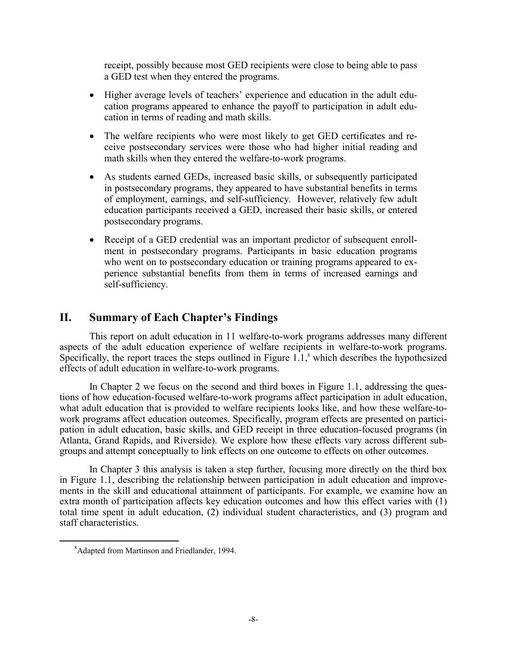receipt, possibly because most GED recipients were close to being able to pass a GED test when they entered the programs.

- Higher average levels of teachers' experience and education in the adult education programs appeared to enhance the payoff to participation in adult education in terms of reading and math skills.
- The welfare recipients who were most likely to get GED certificates and receive postsecondary services were those who had higher initial reading and math skills when they entered the welfare-to-work programs.
- As students earned GEDs, increased basic skills, or subsequently participated in postsecondary programs, they appeared to have substantial benefits in terms of employment, earnings, and self-sufficiency. However, relatively few adult education participants received a GED, increased their basic skills, or entered postsecondary programs.
- Receipt of a GED credential was an important predictor of subsequent enrollment in postsecondary programs. Participants in basic education programs who went on to postsecondary education or training programs appeared to experience substantial benefits from them in terms of increased earnings and self-sufficiency.

## **II. Summary of Each Chapter's Findings**

This report on adult education in 11 welfare-to-work programs addresses many different aspects of the adult education experience of welfare recipients in welfare-to-work programs. Specifically, the report traces the steps outlined in Figure  $1.1$ ,<sup>8</sup> which describes the hypothesized effects of adult education in welfare-to-work programs.

 In Chapter 2 we focus on the second and third boxes in Figure 1.1, addressing the questions of how education-focused welfare-to-work programs affect participation in adult education, what adult education that is provided to welfare recipients looks like, and how these welfare-towork programs affect education outcomes. Specifically, program effects are presented on participation in adult education, basic skills, and GED receipt in three education-focused programs (in Atlanta, Grand Rapids, and Riverside). We explore how these effects vary across different subgroups and attempt conceptually to link effects on one outcome to effects on other outcomes.

In Chapter 3 this analysis is taken a step further, focusing more directly on the third box in Figure 1.1, describing the relationship between participation in adult education and improvements in the skill and educational attainment of participants. For example, we examine how an extra month of participation affects key education outcomes and how this effect varies with (1) total time spent in adult education, (2) individual student characteristics, and (3) program and staff characteristics.

 <sup>8</sup> Adapted from Martinson and Friedlander, 1994.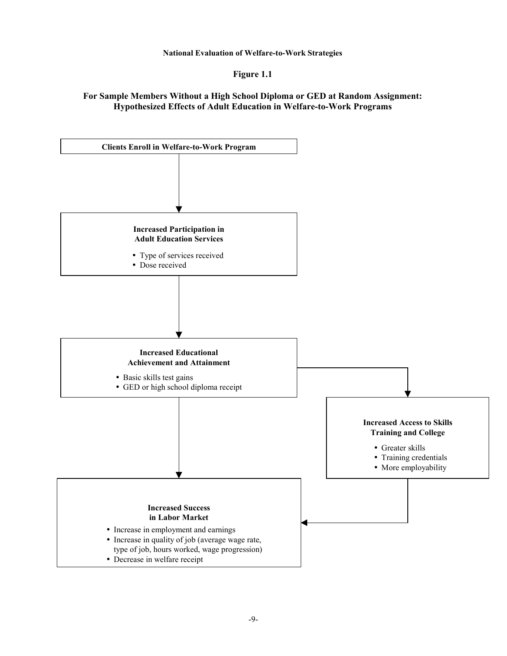**National Evaluation of Welfare-to-Work Strategies**

**Figure 1.1**

#### **For Sample Members Without a High School Diploma or GED at Random Assignment: Hypothesized Effects of Adult Education in Welfare-to-Work Programs**

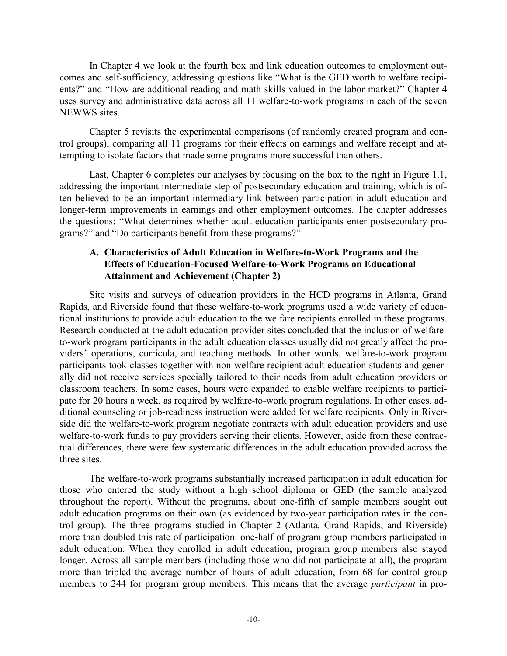In Chapter 4 we look at the fourth box and link education outcomes to employment outcomes and self-sufficiency, addressing questions like "What is the GED worth to welfare recipients?" and "How are additional reading and math skills valued in the labor market?" Chapter 4 uses survey and administrative data across all 11 welfare-to-work programs in each of the seven NEWWS sites.

Chapter 5 revisits the experimental comparisons (of randomly created program and control groups), comparing all 11 programs for their effects on earnings and welfare receipt and attempting to isolate factors that made some programs more successful than others.

Last, Chapter 6 completes our analyses by focusing on the box to the right in Figure 1.1, addressing the important intermediate step of postsecondary education and training, which is often believed to be an important intermediary link between participation in adult education and longer-term improvements in earnings and other employment outcomes. The chapter addresses the questions: "What determines whether adult education participants enter postsecondary programs?" and "Do participants benefit from these programs?"

#### **A. Characteristics of Adult Education in Welfare-to-Work Programs and the Effects of Education-Focused Welfare-to-Work Programs on Educational Attainment and Achievement (Chapter 2)**

Site visits and surveys of education providers in the HCD programs in Atlanta, Grand Rapids, and Riverside found that these welfare-to-work programs used a wide variety of educational institutions to provide adult education to the welfare recipients enrolled in these programs. Research conducted at the adult education provider sites concluded that the inclusion of welfareto-work program participants in the adult education classes usually did not greatly affect the providers' operations, curricula, and teaching methods. In other words, welfare-to-work program participants took classes together with non-welfare recipient adult education students and generally did not receive services specially tailored to their needs from adult education providers or classroom teachers. In some cases, hours were expanded to enable welfare recipients to participate for 20 hours a week, as required by welfare-to-work program regulations. In other cases, additional counseling or job-readiness instruction were added for welfare recipients. Only in Riverside did the welfare-to-work program negotiate contracts with adult education providers and use welfare-to-work funds to pay providers serving their clients. However, aside from these contractual differences, there were few systematic differences in the adult education provided across the three sites.

The welfare-to-work programs substantially increased participation in adult education for those who entered the study without a high school diploma or GED (the sample analyzed throughout the report). Without the programs, about one-fifth of sample members sought out adult education programs on their own (as evidenced by two-year participation rates in the control group). The three programs studied in Chapter 2 (Atlanta, Grand Rapids, and Riverside) more than doubled this rate of participation: one-half of program group members participated in adult education. When they enrolled in adult education, program group members also stayed longer. Across all sample members (including those who did not participate at all), the program more than tripled the average number of hours of adult education, from 68 for control group members to 244 for program group members. This means that the average *participant* in pro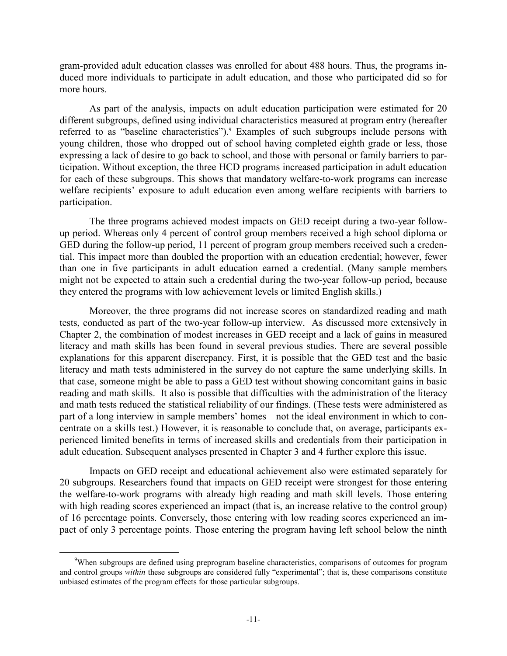gram-provided adult education classes was enrolled for about 488 hours. Thus, the programs induced more individuals to participate in adult education, and those who participated did so for more hours.

As part of the analysis, impacts on adult education participation were estimated for 20 different subgroups, defined using individual characteristics measured at program entry (hereafter referred to as "baseline characteristics").<sup>9</sup> Examples of such subgroups include persons with young children, those who dropped out of school having completed eighth grade or less, those expressing a lack of desire to go back to school, and those with personal or family barriers to participation. Without exception, the three HCD programs increased participation in adult education for each of these subgroups. This shows that mandatory welfare-to-work programs can increase welfare recipients' exposure to adult education even among welfare recipients with barriers to participation.

The three programs achieved modest impacts on GED receipt during a two-year followup period. Whereas only 4 percent of control group members received a high school diploma or GED during the follow-up period, 11 percent of program group members received such a credential. This impact more than doubled the proportion with an education credential; however, fewer than one in five participants in adult education earned a credential. (Many sample members might not be expected to attain such a credential during the two-year follow-up period, because they entered the programs with low achievement levels or limited English skills.)

Moreover, the three programs did not increase scores on standardized reading and math tests, conducted as part of the two-year follow-up interview. As discussed more extensively in Chapter 2, the combination of modest increases in GED receipt and a lack of gains in measured literacy and math skills has been found in several previous studies. There are several possible explanations for this apparent discrepancy. First, it is possible that the GED test and the basic literacy and math tests administered in the survey do not capture the same underlying skills. In that case, someone might be able to pass a GED test without showing concomitant gains in basic reading and math skills. It also is possible that difficulties with the administration of the literacy and math tests reduced the statistical reliability of our findings. (These tests were administered as part of a long interview in sample members' homes—not the ideal environment in which to concentrate on a skills test.) However, it is reasonable to conclude that, on average, participants experienced limited benefits in terms of increased skills and credentials from their participation in adult education. Subsequent analyses presented in Chapter 3 and 4 further explore this issue.

Impacts on GED receipt and educational achievement also were estimated separately for 20 subgroups. Researchers found that impacts on GED receipt were strongest for those entering the welfare-to-work programs with already high reading and math skill levels. Those entering with high reading scores experienced an impact (that is, an increase relative to the control group) of 16 percentage points. Conversely, those entering with low reading scores experienced an impact of only 3 percentage points. Those entering the program having left school below the ninth

 <sup>9</sup> <sup>9</sup>When subgroups are defined using preprogram baseline characteristics, comparisons of outcomes for program and control groups *within* these subgroups are considered fully "experimental"; that is, these comparisons constitute unbiased estimates of the program effects for those particular subgroups.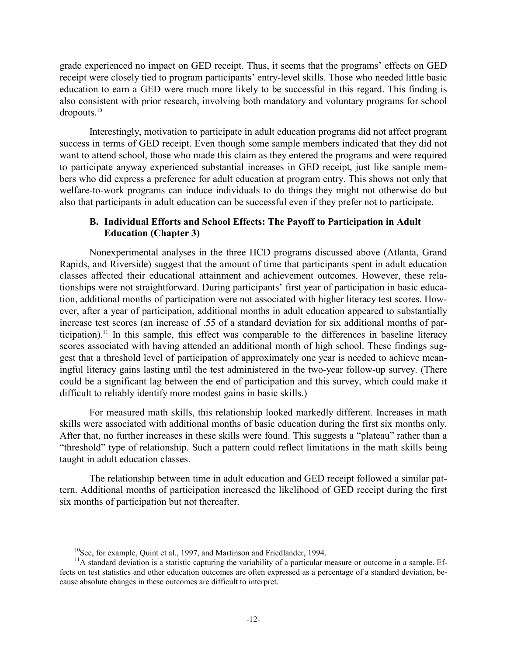grade experienced no impact on GED receipt. Thus, it seems that the programs' effects on GED receipt were closely tied to program participants' entry-level skills. Those who needed little basic education to earn a GED were much more likely to be successful in this regard. This finding is also consistent with prior research, involving both mandatory and voluntary programs for school dropouts.10

Interestingly, motivation to participate in adult education programs did not affect program success in terms of GED receipt. Even though some sample members indicated that they did not want to attend school, those who made this claim as they entered the programs and were required to participate anyway experienced substantial increases in GED receipt, just like sample members who did express a preference for adult education at program entry. This shows not only that welfare-to-work programs can induce individuals to do things they might not otherwise do but also that participants in adult education can be successful even if they prefer not to participate.

#### **B. Individual Efforts and School Effects: The Payoff to Participation in Adult Education (Chapter 3)**

Nonexperimental analyses in the three HCD programs discussed above (Atlanta, Grand Rapids, and Riverside) suggest that the amount of time that participants spent in adult education classes affected their educational attainment and achievement outcomes. However, these relationships were not straightforward. During participants' first year of participation in basic education, additional months of participation were not associated with higher literacy test scores. However, after a year of participation, additional months in adult education appeared to substantially increase test scores (an increase of .55 of a standard deviation for six additional months of participation).<sup>11</sup> In this sample, this effect was comparable to the differences in baseline literacy scores associated with having attended an additional month of high school. These findings suggest that a threshold level of participation of approximately one year is needed to achieve meaningful literacy gains lasting until the test administered in the two-year follow-up survey. (There could be a significant lag between the end of participation and this survey, which could make it difficult to reliably identify more modest gains in basic skills.)

For measured math skills, this relationship looked markedly different. Increases in math skills were associated with additional months of basic education during the first six months only. After that, no further increases in these skills were found. This suggests a "plateau" rather than a "threshold" type of relationship. Such a pattern could reflect limitations in the math skills being taught in adult education classes.

The relationship between time in adult education and GED receipt followed a similar pattern. Additional months of participation increased the likelihood of GED receipt during the first six months of participation but not thereafter.

<sup>&</sup>lt;sup>10</sup>See, for example, Quint et al., 1997, and Martinson and Friedlander, 1994.

 $11$ A standard deviation is a statistic capturing the variability of a particular measure or outcome in a sample. Effects on test statistics and other education outcomes are often expressed as a percentage of a standard deviation, because absolute changes in these outcomes are difficult to interpret.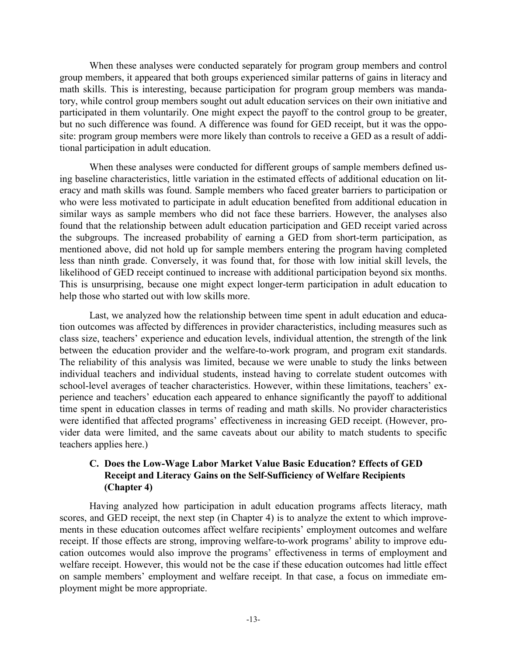When these analyses were conducted separately for program group members and control group members, it appeared that both groups experienced similar patterns of gains in literacy and math skills. This is interesting, because participation for program group members was mandatory, while control group members sought out adult education services on their own initiative and participated in them voluntarily. One might expect the payoff to the control group to be greater, but no such difference was found. A difference was found for GED receipt, but it was the opposite: program group members were more likely than controls to receive a GED as a result of additional participation in adult education.

When these analyses were conducted for different groups of sample members defined using baseline characteristics, little variation in the estimated effects of additional education on literacy and math skills was found. Sample members who faced greater barriers to participation or who were less motivated to participate in adult education benefited from additional education in similar ways as sample members who did not face these barriers. However, the analyses also found that the relationship between adult education participation and GED receipt varied across the subgroups. The increased probability of earning a GED from short-term participation, as mentioned above, did not hold up for sample members entering the program having completed less than ninth grade. Conversely, it was found that, for those with low initial skill levels, the likelihood of GED receipt continued to increase with additional participation beyond six months. This is unsurprising, because one might expect longer-term participation in adult education to help those who started out with low skills more.

Last, we analyzed how the relationship between time spent in adult education and education outcomes was affected by differences in provider characteristics, including measures such as class size, teachers' experience and education levels, individual attention, the strength of the link between the education provider and the welfare-to-work program, and program exit standards. The reliability of this analysis was limited, because we were unable to study the links between individual teachers and individual students, instead having to correlate student outcomes with school-level averages of teacher characteristics. However, within these limitations, teachers' experience and teachers' education each appeared to enhance significantly the payoff to additional time spent in education classes in terms of reading and math skills. No provider characteristics were identified that affected programs' effectiveness in increasing GED receipt. (However, provider data were limited, and the same caveats about our ability to match students to specific teachers applies here.)

#### **C. Does the Low-Wage Labor Market Value Basic Education? Effects of GED Receipt and Literacy Gains on the Self-Sufficiency of Welfare Recipients (Chapter 4)**

Having analyzed how participation in adult education programs affects literacy, math scores, and GED receipt, the next step (in Chapter 4) is to analyze the extent to which improvements in these education outcomes affect welfare recipients' employment outcomes and welfare receipt. If those effects are strong, improving welfare-to-work programs' ability to improve education outcomes would also improve the programs' effectiveness in terms of employment and welfare receipt. However, this would not be the case if these education outcomes had little effect on sample members' employment and welfare receipt. In that case, a focus on immediate employment might be more appropriate.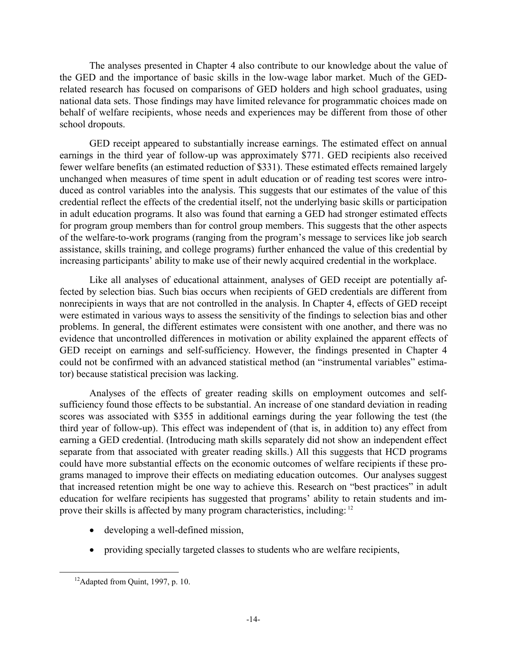The analyses presented in Chapter 4 also contribute to our knowledge about the value of the GED and the importance of basic skills in the low-wage labor market. Much of the GEDrelated research has focused on comparisons of GED holders and high school graduates, using national data sets. Those findings may have limited relevance for programmatic choices made on behalf of welfare recipients, whose needs and experiences may be different from those of other school dropouts.

GED receipt appeared to substantially increase earnings. The estimated effect on annual earnings in the third year of follow-up was approximately \$771. GED recipients also received fewer welfare benefits (an estimated reduction of \$331). These estimated effects remained largely unchanged when measures of time spent in adult education or of reading test scores were introduced as control variables into the analysis. This suggests that our estimates of the value of this credential reflect the effects of the credential itself, not the underlying basic skills or participation in adult education programs. It also was found that earning a GED had stronger estimated effects for program group members than for control group members. This suggests that the other aspects of the welfare-to-work programs (ranging from the program's message to services like job search assistance, skills training, and college programs) further enhanced the value of this credential by increasing participants' ability to make use of their newly acquired credential in the workplace.

Like all analyses of educational attainment, analyses of GED receipt are potentially affected by selection bias. Such bias occurs when recipients of GED credentials are different from nonrecipients in ways that are not controlled in the analysis. In Chapter 4, effects of GED receipt were estimated in various ways to assess the sensitivity of the findings to selection bias and other problems. In general, the different estimates were consistent with one another, and there was no evidence that uncontrolled differences in motivation or ability explained the apparent effects of GED receipt on earnings and self-sufficiency. However, the findings presented in Chapter 4 could not be confirmed with an advanced statistical method (an "instrumental variables" estimator) because statistical precision was lacking.

Analyses of the effects of greater reading skills on employment outcomes and selfsufficiency found those effects to be substantial. An increase of one standard deviation in reading scores was associated with \$355 in additional earnings during the year following the test (the third year of follow-up). This effect was independent of (that is, in addition to) any effect from earning a GED credential. (Introducing math skills separately did not show an independent effect separate from that associated with greater reading skills.) All this suggests that HCD programs could have more substantial effects on the economic outcomes of welfare recipients if these programs managed to improve their effects on mediating education outcomes. Our analyses suggest that increased retention might be one way to achieve this. Research on "best practices" in adult education for welfare recipients has suggested that programs' ability to retain students and improve their skills is affected by many program characteristics, including: 12

- developing a well-defined mission,
- providing specially targeted classes to students who are welfare recipients,

 $12$ Adapted from Quint, 1997, p. 10.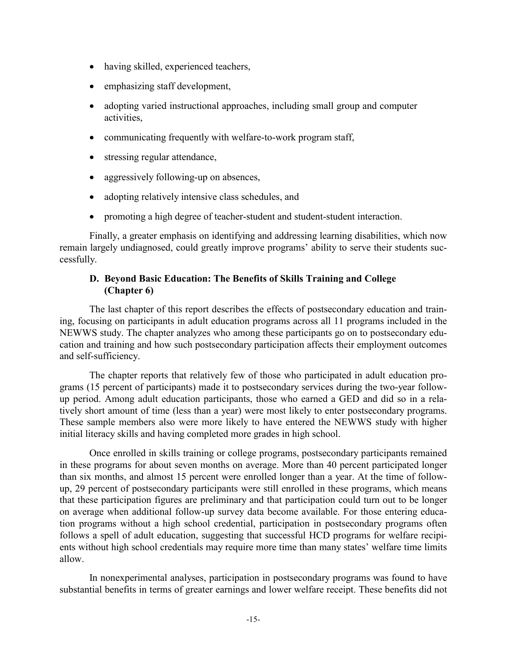- having skilled, experienced teachers,
- emphasizing staff development,
- adopting varied instructional approaches, including small group and computer activities,
- $\bullet$ communicating frequently with welfare-to-work program staff,
- stressing regular attendance,
- $\bullet$ aggressively following-up on absences,
- $\bullet$ adopting relatively intensive class schedules, and
- $\bullet$ promoting a high degree of teacher-student and student-student interaction.

Finally, a greater emphasis on identifying and addressing learning disabilities, which now remain largely undiagnosed, could greatly improve programs' ability to serve their students successfully.

#### **D. Beyond Basic Education: The Benefits of Skills Training and College (Chapter 6)**

The last chapter of this report describes the effects of postsecondary education and training, focusing on participants in adult education programs across all 11 programs included in the NEWWS study. The chapter analyzes who among these participants go on to postsecondary education and training and how such postsecondary participation affects their employment outcomes and self-sufficiency.

 The chapter reports that relatively few of those who participated in adult education programs (15 percent of participants) made it to postsecondary services during the two-year followup period. Among adult education participants, those who earned a GED and did so in a relatively short amount of time (less than a year) were most likely to enter postsecondary programs. These sample members also were more likely to have entered the NEWWS study with higher initial literacy skills and having completed more grades in high school.

 Once enrolled in skills training or college programs, postsecondary participants remained in these programs for about seven months on average. More than 40 percent participated longer than six months, and almost 15 percent were enrolled longer than a year. At the time of followup, 29 percent of postsecondary participants were still enrolled in these programs, which means that these participation figures are preliminary and that participation could turn out to be longer on average when additional follow-up survey data become available. For those entering education programs without a high school credential, participation in postsecondary programs often follows a spell of adult education, suggesting that successful HCD programs for welfare recipients without high school credentials may require more time than many states' welfare time limits allow.

In nonexperimental analyses, participation in postsecondary programs was found to have substantial benefits in terms of greater earnings and lower welfare receipt. These benefits did not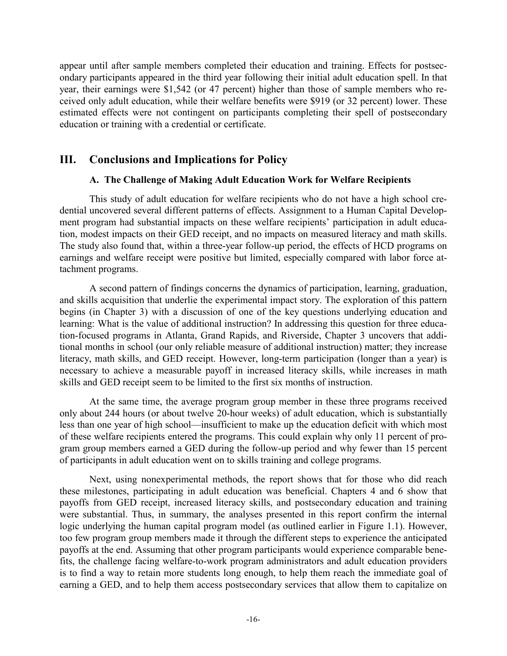appear until after sample members completed their education and training. Effects for postsecondary participants appeared in the third year following their initial adult education spell. In that year, their earnings were \$1,542 (or 47 percent) higher than those of sample members who received only adult education, while their welfare benefits were \$919 (or 32 percent) lower. These estimated effects were not contingent on participants completing their spell of postsecondary education or training with a credential or certificate.

## **III. Conclusions and Implications for Policy**

#### **A. The Challenge of Making Adult Education Work for Welfare Recipients**

 This study of adult education for welfare recipients who do not have a high school credential uncovered several different patterns of effects. Assignment to a Human Capital Development program had substantial impacts on these welfare recipients' participation in adult education, modest impacts on their GED receipt, and no impacts on measured literacy and math skills. The study also found that, within a three-year follow-up period, the effects of HCD programs on earnings and welfare receipt were positive but limited, especially compared with labor force attachment programs.

 A second pattern of findings concerns the dynamics of participation, learning, graduation, and skills acquisition that underlie the experimental impact story. The exploration of this pattern begins (in Chapter 3) with a discussion of one of the key questions underlying education and learning: What is the value of additional instruction? In addressing this question for three education-focused programs in Atlanta, Grand Rapids, and Riverside, Chapter 3 uncovers that additional months in school (our only reliable measure of additional instruction) matter; they increase literacy, math skills, and GED receipt. However, long-term participation (longer than a year) is necessary to achieve a measurable payoff in increased literacy skills, while increases in math skills and GED receipt seem to be limited to the first six months of instruction.

 At the same time, the average program group member in these three programs received only about 244 hours (or about twelve 20-hour weeks) of adult education, which is substantially less than one year of high school—insufficient to make up the education deficit with which most of these welfare recipients entered the programs. This could explain why only 11 percent of program group members earned a GED during the follow-up period and why fewer than 15 percent of participants in adult education went on to skills training and college programs.

 Next, using nonexperimental methods, the report shows that for those who did reach these milestones, participating in adult education was beneficial. Chapters 4 and 6 show that payoffs from GED receipt, increased literacy skills, and postsecondary education and training were substantial. Thus, in summary, the analyses presented in this report confirm the internal logic underlying the human capital program model (as outlined earlier in Figure 1.1). However, too few program group members made it through the different steps to experience the anticipated payoffs at the end. Assuming that other program participants would experience comparable benefits, the challenge facing welfare-to-work program administrators and adult education providers is to find a way to retain more students long enough, to help them reach the immediate goal of earning a GED, and to help them access postsecondary services that allow them to capitalize on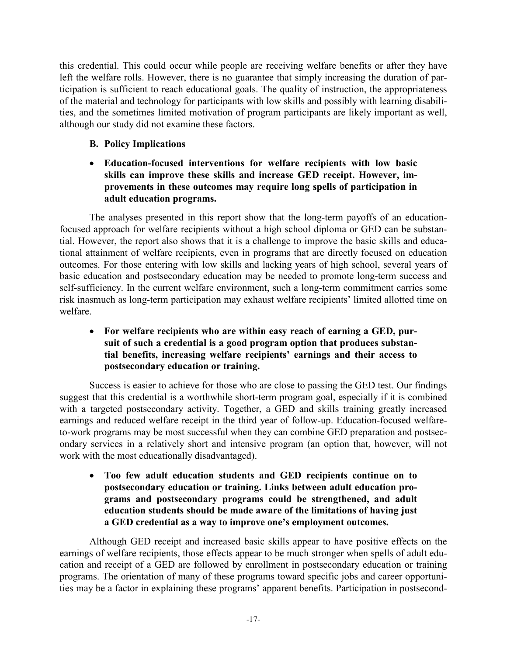this credential. This could occur while people are receiving welfare benefits or after they have left the welfare rolls. However, there is no guarantee that simply increasing the duration of participation is sufficient to reach educational goals. The quality of instruction, the appropriateness of the material and technology for participants with low skills and possibly with learning disabilities, and the sometimes limited motivation of program participants are likely important as well, although our study did not examine these factors.

## **B. Policy Implications**

### - **Education-focused interventions for welfare recipients with low basic skills can improve these skills and increase GED receipt. However, improvements in these outcomes may require long spells of participation in adult education programs.**

 The analyses presented in this report show that the long-term payoffs of an educationfocused approach for welfare recipients without a high school diploma or GED can be substantial. However, the report also shows that it is a challenge to improve the basic skills and educational attainment of welfare recipients, even in programs that are directly focused on education outcomes. For those entering with low skills and lacking years of high school, several years of basic education and postsecondary education may be needed to promote long-term success and self-sufficiency. In the current welfare environment, such a long-term commitment carries some risk inasmuch as long-term participation may exhaust welfare recipients' limited allotted time on welfare.

### - **For welfare recipients who are within easy reach of earning a GED, pursuit of such a credential is a good program option that produces substantial benefits, increasing welfare recipients' earnings and their access to postsecondary education or training.**

 Success is easier to achieve for those who are close to passing the GED test. Our findings suggest that this credential is a worthwhile short-term program goal, especially if it is combined with a targeted postsecondary activity. Together, a GED and skills training greatly increased earnings and reduced welfare receipt in the third year of follow-up. Education-focused welfareto-work programs may be most successful when they can combine GED preparation and postsecondary services in a relatively short and intensive program (an option that, however, will not work with the most educationally disadvantaged).

- **Too few adult education students and GED recipients continue on to postsecondary education or training. Links between adult education programs and postsecondary programs could be strengthened, and adult education students should be made aware of the limitations of having just a GED credential as a way to improve one's employment outcomes.** 

 Although GED receipt and increased basic skills appear to have positive effects on the earnings of welfare recipients, those effects appear to be much stronger when spells of adult education and receipt of a GED are followed by enrollment in postsecondary education or training programs. The orientation of many of these programs toward specific jobs and career opportunities may be a factor in explaining these programs' apparent benefits. Participation in postsecond